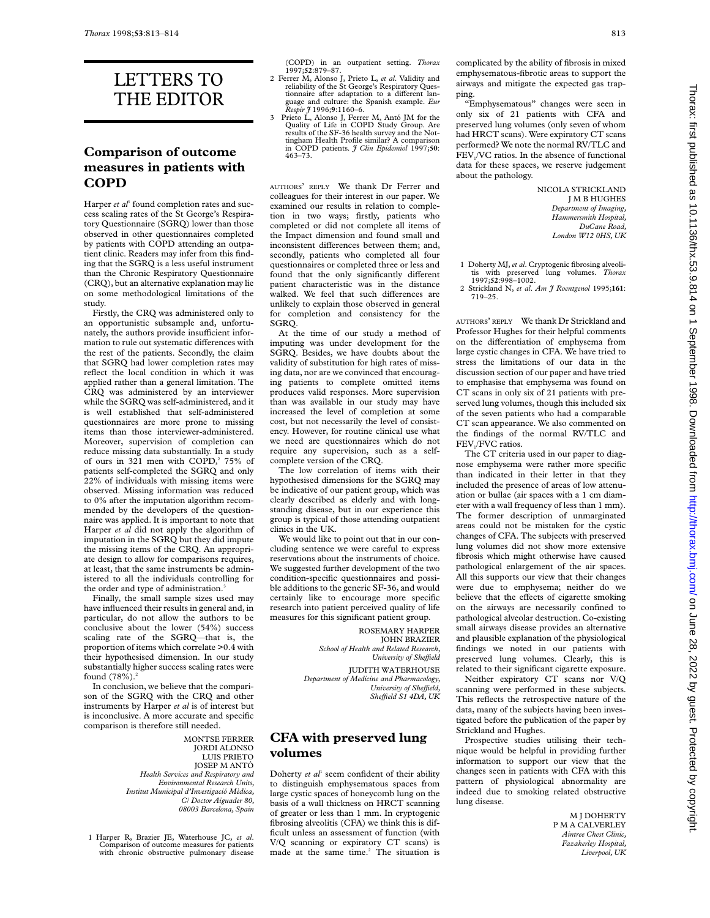# LETTERS TO THE EDITOR

#### **Comparison of outcome measures in patients with COPD**

Harper *et al*<sup>1</sup> found completion rates and success scaling rates of the St George's Respiratory Questionnaire (SGRQ) lower than those observed in other questionnaires completed by patients with COPD attending an outpatient clinic. Readers may infer from this finding that the SGRQ is a less useful instrument than the Chronic Respiratory Questionnaire (CRQ), but an alternative explanation may lie on some methodological limitations of the study.

Firstly, the CRQ was administered only to an opportunistic subsample and, unfortunately, the authors provide insufficient information to rule out systematic differences with the rest of the patients. Secondly, the claim that SGRQ had lower completion rates may reflect the local condition in which it was applied rather than a general limitation. The CRQ was administered by an interviewer while the SGRQ was self-administered, and it is well established that self-administered questionnaires are more prone to missing items than those interviewer-administered. Moreover, supervision of completion can reduce missing data substantially. In a study of ours in 321 men with COPD,<sup>2</sup> 75% of patients self-completed the SGRQ and only 22% of individuals with missing items were observed. Missing information was reduced to 0% after the imputation algorithm recommended by the developers of the questionnaire was applied. It is important to note that Harper *et al* did not apply the algorithm of imputation in the SGRQ but they did impute the missing items of the CRQ. An appropriate design to allow for comparisons requires, at least, that the same instruments be administered to all the individuals controlling for the order and type of administration.<sup>3</sup>

Finally, the small sample sizes used may have influenced their results in general and, in particular, do not allow the authors to be conclusive about the lower (54%) success scaling rate of the SGRQ—that is, the proportion of items which correlate >0.4 with their hypothesised dimension. In our study substantially higher success scaling rates were found  $(78%)$ .<sup>2</sup>

In conclusion, we believe that the comparison of the SGRQ with the CRQ and other instruments by Harper *et al* is of interest but is inconclusive. A more accurate and specific comparison is therefore still needed.

> MONTSE FERRER JORDI ALONSO LUIS PRIETO JOSEP M ANTÓ *Health Services and Respiratory and Environmental Research Units, Institut Municipal d'Investigació Mèdica, C/ Doctor Aiguader 80, 08003 Barcelona, Spain*

1 Harper R, Brazier JE, Waterhouse JC, *et al*. Comparison of outcome measures for patients with chronic obstructive pulmonary disease (COPD) in an outpatient setting. *Thorax* 1997;**52**:879–87.

- 2 Ferrer M, Alonso J, Prieto L, *et al*. Validity and reliability of the St George's Respiratory Questionnaire after adaptation to a different language and culture: the Spanish example. *Eur Respir J* 1996;**9**:1160–6.
- 3 Prieto L, Alonso J, Ferrer M, Antó JM for the Quality of Life in COPD Study Group. Are results of the SF-36 health survey and the Not-tingham Health Profile similar? A comparison in COPD patients. *J Clin Epidemiol* 1997;**50**: 463–73.

AUTHORS' REPLY We thank Dr Ferrer and colleagues for their interest in our paper. We examined our results in relation to completion in two ways; firstly, patients who completed or did not complete all items of the Impact dimension and found small and inconsistent differences between them; and, secondly, patients who completed all four questionnaires or completed three or less and found that the only significantly different patient characteristic was in the distance walked. We feel that such differences are unlikely to explain those observed in general for completion and consistency for the SGRQ.

At the time of our study a method of imputing was under development for the SGRQ. Besides, we have doubts about the validity of substitution for high rates of missing data, nor are we convinced that encouraging patients to complete omitted items produces valid responses. More supervision than was available in our study may have increased the level of completion at some cost, but not necessarily the level of consistency. However, for routine clinical use what we need are questionnaires which do not require any supervision, such as a selfcomplete version of the CRQ.

The low correlation of items with their hypothesised dimensions for the SGRQ may be indicative of our patient group, which was clearly described as elderly and with longstanding disease, but in our experience this group is typical of those attending outpatient clinics in the UK.

We would like to point out that in our concluding sentence we were careful to express reservations about the instruments of choice. We suggested further development of the two condition-specific questionnaires and possible additions to the generic SF-36, and would certainly like to encourage more specific research into patient perceived quality of life measures for this significant patient group.

> ROSEMARY HARPER JOHN BRAZIER *School of Health and Related Research, University of SheYeld*

JUDITH WATERHOUSE *Department of Medicine and Pharmacology, University of SheYeld, SheYeld S1 4DA, UK*

#### **CFA with preserved lung volumes**

Doherty *et al*<sup>1</sup> seem confident of their ability to distinguish emphysematous spaces from large cystic spaces of honeycomb lung on the basis of a wall thickness on HRCT scanning of greater or less than 1 mm. In cryptogenic fibrosing alveolitis (CFA) we think this is difficult unless an assessment of function (with V/Q scanning or expiratory CT scans) is made at the same time.<sup>2</sup> The situation is

complicated by the ability of fibrosis in mixed emphysematous-fibrotic areas to support the airways and mitigate the expected gas trapping.

"Emphysematous" changes were seen in only six of 21 patients with CFA and preserved lung volumes (only seven of whom had HRCT scans). Were expiratory CT scans performed? We note the normal RV/TLC and FEV<sub>1</sub>/VC ratios. In the absence of functional data for these spaces, we reserve judgement about the pathology.

> NICOLA STRICKLAND J M B HUGHES *Department of Imaging, Hammersmith Hospital, DuCane Road, London W12 0HS, UK*

- 1 Doherty MJ, *et al*. Cryptogenic fibrosing alveoli-tis with preserved lung volumes. *Thorax* 1997;**52**:998–1002.
- 2 Strickland N, *et al*. *Am J Roentgenol* 1995;**161**: 719–25.

AUTHORS' REPLY We thank Dr Strickland and Professor Hughes for their helpful comments on the differentiation of emphysema from large cystic changes in CFA. We have tried to stress the limitations of our data in the discussion section of our paper and have tried to emphasise that emphysema was found on CT scans in only six of 21 patients with preserved lung volumes, though this included six of the seven patients who had a comparable CT scan appearance. We also commented on the findings of the normal RV/TLC and FEV<sub>1</sub>/FVC ratios.

The CT criteria used in our paper to diagnose emphysema were rather more specific than indicated in their letter in that they included the presence of areas of low attenuation or bullae (air spaces with a 1 cm diameter with a wall frequency of less than 1 mm). The former description of unmarginated areas could not be mistaken for the cystic changes of CFA. The subjects with preserved lung volumes did not show more extensive fibrosis which might otherwise have caused pathological enlargement of the air spaces. All this supports our view that their changes were due to emphysema; neither do we believe that the effects of cigarette smoking on the airways are necessarily confined to pathological alveolar destruction. Co-existing small airways disease provides an alternative and plausible explanation of the physiological findings we noted in our patients with preserved lung volumes. Clearly, this is related to their significant cigarette exposure.

Neither expiratory CT scans nor V/Q scanning were performed in these subjects. This reflects the retrospective nature of the data, many of the subjects having been investigated before the publication of the paper by Strickland and Hughes.

Prospective studies utilising their technique would be helpful in providing further information to support our view that the changes seen in patients with CFA with this pattern of physiological abnormality are indeed due to smoking related obstructive lung disease.

> M J DOHERTY P M A CALVERLEY *Aintree Chest Clinic, Fazakerley Hospital, Liverpool, UK*